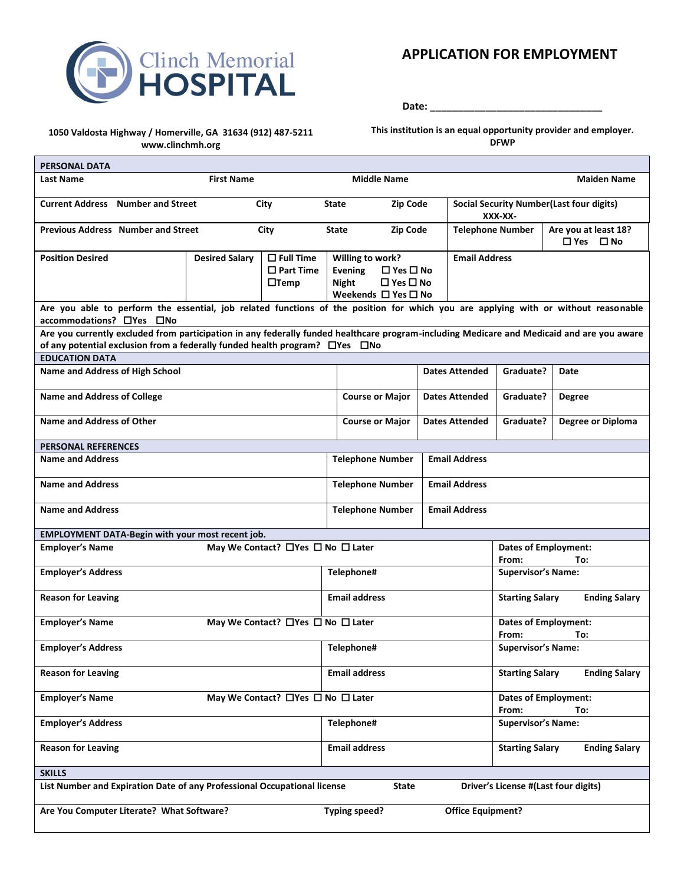

## **APPLICATION FOR EMPLOYMENT**

**Date: \_\_\_\_\_\_\_\_\_\_\_\_\_\_\_\_\_\_\_\_\_\_\_\_\_\_\_\_\_\_\_**

#### **1050 Valdosta Highway / Homerville, GA 31634 (912) 487-5211 www.clinchmh.org**

T

**This institution is an equal opportunity provider and employer. DFWP**

h

| <b>PERSONAL DATA</b>                                                                                                                                                                                                                  |                       |                                    |                         |                                                          |                       |                          |                                                |                                                  |  |
|---------------------------------------------------------------------------------------------------------------------------------------------------------------------------------------------------------------------------------------|-----------------------|------------------------------------|-------------------------|----------------------------------------------------------|-----------------------|--------------------------|------------------------------------------------|--------------------------------------------------|--|
| <b>Last Name</b>                                                                                                                                                                                                                      | <b>First Name</b>     |                                    |                         | <b>Middle Name</b>                                       |                       |                          |                                                | <b>Maiden Name</b>                               |  |
| <b>Current Address</b> Number and Street                                                                                                                                                                                              |                       | City                               | <b>State</b>            | Zip Code                                                 |                       |                          | XXX-XX-                                        | <b>Social Security Number (Last four digits)</b> |  |
| <b>Previous Address</b> Number and Street                                                                                                                                                                                             |                       | City                               | State                   | <b>Zip Code</b>                                          |                       | <b>Telephone Number</b>  |                                                | Are you at least 18?<br>$\Box$ Yes $\Box$ No     |  |
| <b>Position Desired</b>                                                                                                                                                                                                               | <b>Desired Salary</b> | $\Box$ Full Time                   | Willing to work?        |                                                          |                       | <b>Email Address</b>     |                                                |                                                  |  |
|                                                                                                                                                                                                                                       |                       | $\square$ Part Time<br>$\Box$ Temp | Evening<br><b>Night</b> | $\square$ Yes $\square$ No<br>$\square$ Yes $\square$ No |                       |                          |                                                |                                                  |  |
|                                                                                                                                                                                                                                       |                       |                                    |                         | Weekends $\Box$ Yes $\Box$ No                            |                       |                          |                                                |                                                  |  |
| Are you able to perform the essential, job related functions of the position for which you are applying with or without reasonable<br>accommodations? DYes DNo                                                                        |                       |                                    |                         |                                                          |                       |                          |                                                |                                                  |  |
| Are you currently excluded from participation in any federally funded healthcare program-including Medicare and Medicaid and are you aware<br>of any potential exclusion from a federally funded health program? $\Box$ Yes $\Box$ No |                       |                                    |                         |                                                          |                       |                          |                                                |                                                  |  |
| <b>EDUCATION DATA</b>                                                                                                                                                                                                                 |                       |                                    |                         |                                                          |                       |                          |                                                |                                                  |  |
| <b>Name and Address of High School</b>                                                                                                                                                                                                |                       |                                    |                         |                                                          |                       | <b>Dates Attended</b>    | Graduate?                                      | Date                                             |  |
| <b>Name and Address of College</b>                                                                                                                                                                                                    |                       |                                    |                         | <b>Course or Major</b>                                   |                       | <b>Dates Attended</b>    | Graduate?                                      | <b>Degree</b>                                    |  |
| Name and Address of Other                                                                                                                                                                                                             |                       |                                    |                         | <b>Course or Major</b>                                   | <b>Dates Attended</b> |                          | Graduate?                                      | <b>Degree or Diploma</b>                         |  |
| <b>PERSONAL REFERENCES</b>                                                                                                                                                                                                            |                       |                                    |                         |                                                          |                       |                          |                                                |                                                  |  |
| <b>Name and Address</b>                                                                                                                                                                                                               |                       |                                    |                         | <b>Telephone Number</b>                                  |                       | <b>Email Address</b>     |                                                |                                                  |  |
| <b>Name and Address</b>                                                                                                                                                                                                               |                       |                                    |                         | <b>Telephone Number</b>                                  | <b>Email Address</b>  |                          |                                                |                                                  |  |
| <b>Name and Address</b>                                                                                                                                                                                                               |                       |                                    |                         | <b>Telephone Number</b>                                  | <b>Email Address</b>  |                          |                                                |                                                  |  |
| EMPLOYMENT DATA-Begin with your most recent job.                                                                                                                                                                                      |                       |                                    |                         |                                                          |                       |                          |                                                |                                                  |  |
| May We Contact? □ Yes □ No □ Later<br><b>Employer's Name</b>                                                                                                                                                                          |                       |                                    |                         |                                                          |                       |                          | <b>Dates of Employment:</b><br>To:<br>From:    |                                                  |  |
| <b>Employer's Address</b>                                                                                                                                                                                                             |                       |                                    | Telephone#              |                                                          |                       |                          | <b>Supervisor's Name:</b>                      |                                                  |  |
| <b>Reason for Leaving</b>                                                                                                                                                                                                             |                       |                                    | <b>Email address</b>    |                                                          |                       |                          | <b>Starting Salary</b><br><b>Ending Salary</b> |                                                  |  |
| <b>Employer's Name</b><br>May We Contact? □ Yes □ No □ Later                                                                                                                                                                          |                       |                                    |                         |                                                          |                       |                          |                                                | <b>Dates of Employment:</b><br>From:<br>To:      |  |
| <b>Employer's Address</b>                                                                                                                                                                                                             |                       |                                    | Telephone#              |                                                          |                       |                          | <b>Supervisor's Name:</b>                      |                                                  |  |
| <b>Reason for Leaving</b>                                                                                                                                                                                                             |                       |                                    | <b>Email address</b>    |                                                          |                       |                          | <b>Starting Salary</b>                         | <b>Ending Salary</b>                             |  |
| May We Contact? □ Yes □ No □ Later<br><b>Employer's Name</b>                                                                                                                                                                          |                       |                                    |                         |                                                          |                       |                          | <b>Dates of Employment:</b><br>From:<br>To:    |                                                  |  |
| <b>Employer's Address</b>                                                                                                                                                                                                             |                       |                                    | Telephone#              |                                                          |                       |                          | <b>Supervisor's Name:</b>                      |                                                  |  |
| <b>Reason for Leaving</b>                                                                                                                                                                                                             |                       |                                    | <b>Email address</b>    |                                                          |                       |                          | <b>Starting Salary</b>                         | <b>Ending Salary</b>                             |  |
| <b>SKILLS</b>                                                                                                                                                                                                                         |                       |                                    |                         |                                                          |                       |                          |                                                |                                                  |  |
| List Number and Expiration Date of any Professional Occupational license<br>Driver's License #(Last four digits)<br><b>State</b>                                                                                                      |                       |                                    |                         |                                                          |                       |                          |                                                |                                                  |  |
| Are You Computer Literate? What Software?                                                                                                                                                                                             |                       |                                    | Typing speed?           |                                                          |                       | <b>Office Equipment?</b> |                                                |                                                  |  |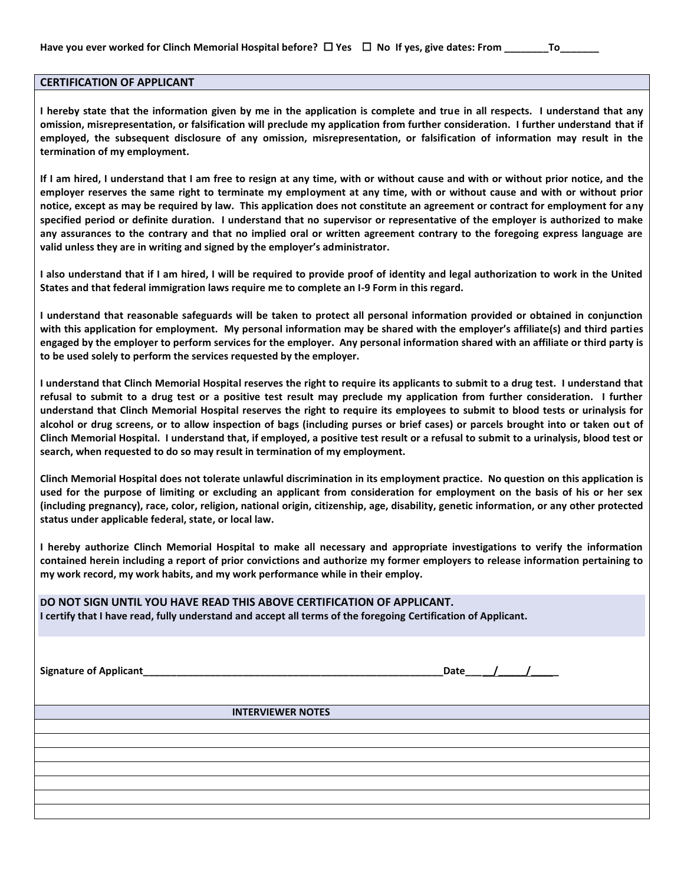#### **CERTIFICATION OF APPLICANT**

**I hereby state that the information given by me in the application is complete and true in all respects. I understand that any omission, misrepresentation, or falsification will preclude my application from further consideration. I further understand that if employed, the subsequent disclosure of any omission, misrepresentation, or falsification of information may result in the termination of my employment.** 

**If I am hired, I understand that I am free to resign at any time, with or without cause and with or without prior notice, and the employer reserves the same right to terminate my employment at any time, with or without cause and with or without prior notice, except as may be required by law. This application does not constitute an agreement or contract for employment for any specified period or definite duration. I understand that no supervisor or representative of the employer is authorized to make any assurances to the contrary and that no implied oral or written agreement contrary to the foregoing express language are valid unless they are in writing and signed by the employer's administrator.** 

**I also understand that if I am hired, I will be required to provide proof of identity and legal authorization to work in the United States and that federal immigration laws require me to complete an I-9 Form in this regard.**

**I understand that reasonable safeguards will be taken to protect all personal information provided or obtained in conjunction with this application for employment. My personal information may be shared with the employer's affiliate(s) and third parties engaged by the employer to perform services for the employer. Any personal information shared with an affiliate or third party is to be used solely to perform the services requested by the employer.**

**I understand that Clinch Memorial Hospital reserves the right to require its applicants to submit to a drug test. I understand that refusal to submit to a drug test or a positive test result may preclude my application from further consideration. I further understand that Clinch Memorial Hospital reserves the right to require its employees to submit to blood tests or urinalysis for alcohol or drug screens, or to allow inspection of bags (including purses or brief cases) or parcels brought into or taken out of Clinch Memorial Hospital. I understand that, if employed, a positive test result or a refusal to submit to a urinalysis, blood test or search, when requested to do so may result in termination of my employment.**

**Clinch Memorial Hospital does not tolerate unlawful discrimination in its employment practice. No question on this application is used for the purpose of limiting or excluding an applicant from consideration for employment on the basis of his or her sex (including pregnancy), race, color, religion, national origin, citizenship, age, disability, genetic information, or any other protected status under applicable federal, state, or local law.**

**I hereby authorize Clinch Memorial Hospital to make all necessary and appropriate investigations to verify the information contained herein including a report of prior convictions and authorize my former employers to release information pertaining to my work record, my work habits, and my work performance while in their employ.**

#### **DO NOT SIGN UNTIL YOU HAVE READ THIS ABOVE CERTIFICATION OF APPLICANT.**

**I certify that I have read, fully understand and accept all terms of the foregoing Certification of Applicant.**

**Signature of Applicant** the contract of Applicant the contract of Applicant the contract of Applicant of Applicant the contract of Applicant of Applicant of Applicant of Applicant of Applicant of Applicant of Applicant of

 **INTERVIEWER NOTES**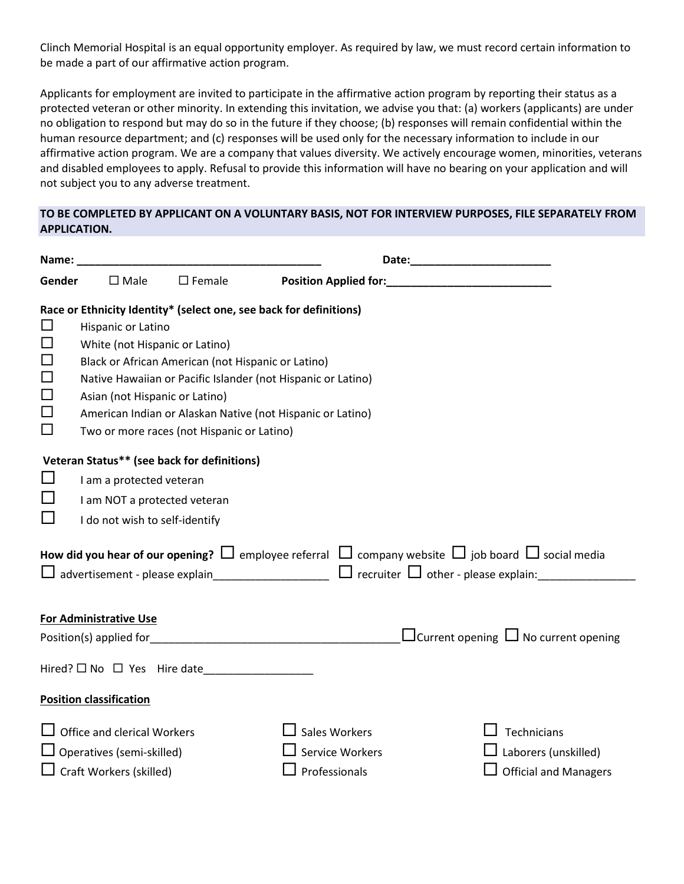Clinch Memorial Hospital is an equal opportunity employer. As required by law, we must record certain information to be made a part of our affirmative action program.

Applicants for employment are invited to participate in the affirmative action program by reporting their status as a protected veteran or other minority. In extending this invitation, we advise you that: (a) workers (applicants) are under no obligation to respond but may do so in the future if they choose; (b) responses will remain confidential within the human resource department; and (c) responses will be used only for the necessary information to include in our affirmative action program. We are a company that values diversity. We actively encourage women, minorities, veterans and disabled employees to apply. Refusal to provide this information will have no bearing on your application and will not subject you to any adverse treatment.

### **TO BE COMPLETED BY APPLICANT ON A VOLUNTARY BASIS, NOT FOR INTERVIEW PURPOSES, FILE SEPARATELY FROM APPLICATION.**

| Name:                                                                                                                    |                                                                                    |                                             |                                                                                   |                                                                                                                       |  |  |  |                                                      |  |  |
|--------------------------------------------------------------------------------------------------------------------------|------------------------------------------------------------------------------------|---------------------------------------------|-----------------------------------------------------------------------------------|-----------------------------------------------------------------------------------------------------------------------|--|--|--|------------------------------------------------------|--|--|
| Gender                                                                                                                   | $\square$ Female<br>$\square$ Male                                                 |                                             |                                                                                   |                                                                                                                       |  |  |  |                                                      |  |  |
|                                                                                                                          |                                                                                    |                                             | Race or Ethnicity Identity* (select one, see back for definitions)                |                                                                                                                       |  |  |  |                                                      |  |  |
| $\Box$                                                                                                                   | Hispanic or Latino                                                                 |                                             |                                                                                   |                                                                                                                       |  |  |  |                                                      |  |  |
| $\Box$                                                                                                                   | White (not Hispanic or Latino)                                                     |                                             |                                                                                   |                                                                                                                       |  |  |  |                                                      |  |  |
| $\Box$                                                                                                                   | Black or African American (not Hispanic or Latino)                                 |                                             |                                                                                   |                                                                                                                       |  |  |  |                                                      |  |  |
| $\Box$                                                                                                                   | Native Hawaiian or Pacific Islander (not Hispanic or Latino)                       |                                             |                                                                                   |                                                                                                                       |  |  |  |                                                      |  |  |
| $\Box$<br>Asian (not Hispanic or Latino)<br>$\Box$<br>American Indian or Alaskan Native (not Hispanic or Latino)         |                                                                                    |                                             |                                                                                   |                                                                                                                       |  |  |  |                                                      |  |  |
|                                                                                                                          |                                                                                    |                                             |                                                                                   |                                                                                                                       |  |  |  | $\Box$<br>Two or more races (not Hispanic or Latino) |  |  |
| Veteran Status** (see back for definitions)                                                                              |                                                                                    |                                             |                                                                                   |                                                                                                                       |  |  |  |                                                      |  |  |
| ப                                                                                                                        | I am a protected veteran                                                           |                                             |                                                                                   |                                                                                                                       |  |  |  |                                                      |  |  |
| ப<br>I am NOT a protected veteran                                                                                        |                                                                                    |                                             |                                                                                   |                                                                                                                       |  |  |  |                                                      |  |  |
| ப                                                                                                                        | I do not wish to self-identify                                                     |                                             |                                                                                   |                                                                                                                       |  |  |  |                                                      |  |  |
|                                                                                                                          |                                                                                    |                                             |                                                                                   | How did you hear of our opening? $\Box$ employee referral $\Box$ company website $\Box$ job board $\Box$ social media |  |  |  |                                                      |  |  |
| $\Box$ advertisement - please explain____________________ $\Box$ recruiter $\Box$ other - please explain:_______________ |                                                                                    |                                             |                                                                                   |                                                                                                                       |  |  |  |                                                      |  |  |
|                                                                                                                          |                                                                                    |                                             |                                                                                   |                                                                                                                       |  |  |  |                                                      |  |  |
|                                                                                                                          | <b>For Administrative Use</b>                                                      |                                             |                                                                                   |                                                                                                                       |  |  |  |                                                      |  |  |
|                                                                                                                          |                                                                                    |                                             | Position(s) applied for <b>Example 2018</b> 2019 12:00:00 Position(s) applied for | $\Box$ Current opening $\Box$ No current opening                                                                      |  |  |  |                                                      |  |  |
|                                                                                                                          |                                                                                    | Hired? $\square$ No $\square$ Yes Hire date |                                                                                   |                                                                                                                       |  |  |  |                                                      |  |  |
|                                                                                                                          | <b>Position classification</b>                                                     |                                             |                                                                                   |                                                                                                                       |  |  |  |                                                      |  |  |
|                                                                                                                          | $\Box$ Office and clerical Workers                                                 |                                             | <b>Sales Workers</b>                                                              | Technicians                                                                                                           |  |  |  |                                                      |  |  |
|                                                                                                                          | $\Box$ Operatives (semi-skilled)<br><b>Service Workers</b><br>Laborers (unskilled) |                                             |                                                                                   |                                                                                                                       |  |  |  |                                                      |  |  |
| $\Box$ Craft Workers (skilled)<br>Professionals<br><b>Official and Managers</b>                                          |                                                                                    |                                             |                                                                                   |                                                                                                                       |  |  |  |                                                      |  |  |